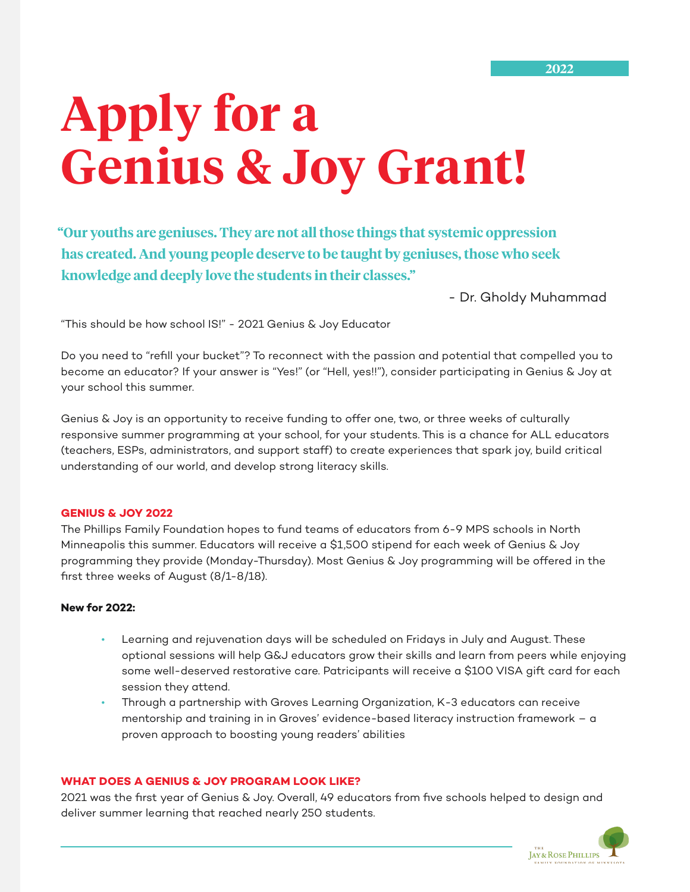# **Apply for a Genius & Joy Grant!**

**"Our youths are geniuses. They are not all those things that systemic oppression has created. And young people deserve to be taught by geniuses, those who seek knowledge and deeply love the students in their classes."** 

- Dr. Gholdy Muhammad

"This should be how school IS!" - 2021 Genius & Joy Educator

Do you need to "refill your bucket"? To reconnect with the passion and potential that compelled you to become an educator? If your answer is "Yes!" (or "Hell, yes!!"), consider participating in Genius & Joy at your school this summer.

Genius & Joy is an opportunity to receive funding to offer one, two, or three weeks of culturally responsive summer programming at your school, for your students. This is a chance for ALL educators (teachers, ESPs, administrators, and support staff) to create experiences that spark joy, build critical understanding of our world, and develop strong literacy skills.

#### **GENIUS & JOY 2022**

The Phillips Family Foundation hopes to fund teams of educators from 6-9 MPS schools in North Minneapolis this summer. Educators will receive a \$1,500 stipend for each week of Genius & Joy programming they provide (Monday-Thursday). Most Genius & Joy programming will be offered in the first three weeks of August (8/1-8/18).

### **New for 2022:**

- Learning and rejuvenation days will be scheduled on Fridays in July and August. These optional sessions will help G&J educators grow their skills and learn from peers while enjoying some well-deserved restorative care. Patricipants will receive a \$100 VISA gift card for each session they attend.
- Through a partnership with Groves Learning Organization, K-3 educators can receive mentorship and training in in Groves' evidence-based literacy instruction framework – a proven approach to boosting young readers' abilities

#### **WHAT DOES A GENIUS & JOY PROGRAM LOOK LIKE?**

2021 was the first year of Genius & Joy. Overall, 49 educators from five schools helped to design and deliver summer learning that reached nearly 250 students.

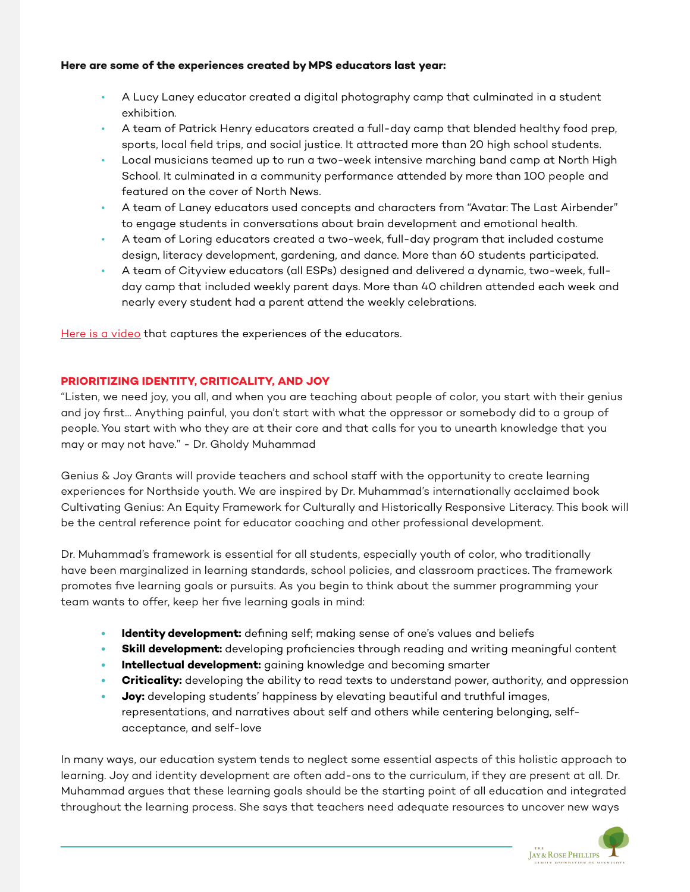## **Here are some of the experiences created by MPS educators last year:**

- A Lucy Laney educator created a digital photography camp that culminated in a student exhibition.
- A team of Patrick Henry educators created a full-day camp that blended healthy food prep, sports, local field trips, and social justice. It attracted more than 20 high school students.
- Local musicians teamed up to run a two-week intensive marching band camp at North High School. It culminated in a community performance attended by more than 100 people and featured on the cover of North News.
- A team of Laney educators used concepts and characters from "Avatar: The Last Airbender" to engage students in conversations about brain development and emotional health.
- A team of Loring educators created a two-week, full-day program that included costume design, literacy development, gardening, and dance. More than 60 students participated.
- A team of Cityview educators (all ESPs) designed and delivered a dynamic, two-week, fullday camp that included weekly parent days. More than 40 children attended each week and nearly every student had a parent attend the weekly celebrations.

[Here is a video](https://www.youtube.com/watch?v=927dnw9mce4) that captures the experiences of the educators.

# **PRIORITIZING IDENTITY, CRITICALITY, AND JOY**

"Listen, we need joy, you all, and when you are teaching about people of color, you start with their genius and joy first… Anything painful, you don't start with what the oppressor or somebody did to a group of people. You start with who they are at their core and that calls for you to unearth knowledge that you may or may not have." - Dr. Gholdy Muhammad

Genius & Joy Grants will provide teachers and school staff with the opportunity to create learning experiences for Northside youth. We are inspired by Dr. Muhammad's internationally acclaimed book Cultivating Genius: An Equity Framework for Culturally and Historically Responsive Literacy. This book will be the central reference point for educator coaching and other professional development.

Dr. Muhammad's framework is essential for all students, especially youth of color, who traditionally have been marginalized in learning standards, school policies, and classroom practices. The framework promotes five learning goals or pursuits. As you begin to think about the summer programming your team wants to offer, keep her five learning goals in mind:

- **• Identity development:** defining self; making sense of one's values and beliefs
- **Skill development:** developing proficiencies through reading and writing meaningful content
- **• Intellectual development:** gaining knowledge and becoming smarter
- **• Criticality:** developing the ability to read texts to understand power, authority, and oppression
- **• Joy:** developing students' happiness by elevating beautiful and truthful images, representations, and narratives about self and others while centering belonging, selfacceptance, and self-love

In many ways, our education system tends to neglect some essential aspects of this holistic approach to learning. Joy and identity development are often add-ons to the curriculum, if they are present at all. Dr. Muhammad argues that these learning goals should be the starting point of all education and integrated throughout the learning process. She says that teachers need adequate resources to uncover new ways

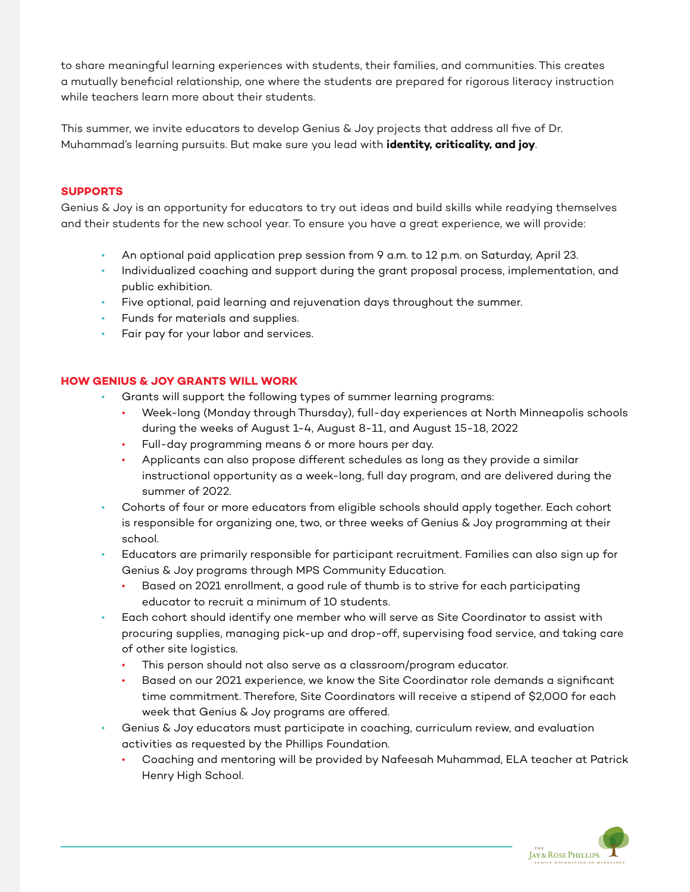to share meaningful learning experiences with students, their families, and communities. This creates a mutually beneficial relationship, one where the students are prepared for rigorous literacy instruction while teachers learn more about their students.

This summer, we invite educators to develop Genius & Joy projects that address all five of Dr. Muhammad's learning pursuits. But make sure you lead with **identity, criticality, and joy**.

# **SUPPORTS**

Genius & Joy is an opportunity for educators to try out ideas and build skills while readying themselves and their students for the new school year. To ensure you have a great experience, we will provide:

- An optional paid application prep session from 9 a.m. to 12 p.m. on Saturday, April 23.
- Individualized coaching and support during the grant proposal process, implementation, and public exhibition.
- Five optional, paid learning and rejuvenation days throughout the summer.
- Funds for materials and supplies.
- Fair pay for your labor and services.

# **HOW GENIUS & JOY GRANTS WILL WORK**

- Grants will support the following types of summer learning programs:
	- Week-long (Monday through Thursday), full-day experiences at North Minneapolis schools during the weeks of August 1-4, August 8-11, and August 15-18, 2022
	- Full-day programming means 6 or more hours per day.
	- Applicants can also propose different schedules as long as they provide a similar instructional opportunity as a week-long, full day program, and are delivered during the summer of 2022.
- Cohorts of four or more educators from eligible schools should apply together. Each cohort is responsible for organizing one, two, or three weeks of Genius & Joy programming at their school.
- Educators are primarily responsible for participant recruitment. Families can also sign up for Genius & Joy programs through MPS Community Education.
	- Based on 2021 enrollment, a good rule of thumb is to strive for each participating educator to recruit a minimum of 10 students.
- Each cohort should identify one member who will serve as Site Coordinator to assist with procuring supplies, managing pick-up and drop-off, supervising food service, and taking care of other site logistics.
	- This person should not also serve as a classroom/program educator.
	- Based on our 2021 experience, we know the Site Coordinator role demands a significant time commitment. Therefore, Site Coordinators will receive a stipend of \$2,000 for each week that Genius & Joy programs are offered.
- Genius & Joy educators must participate in coaching, curriculum review, and evaluation activities as requested by the Phillips Foundation.
	- Coaching and mentoring will be provided by Nafeesah Muhammad, ELA teacher at Patrick Henry High School.